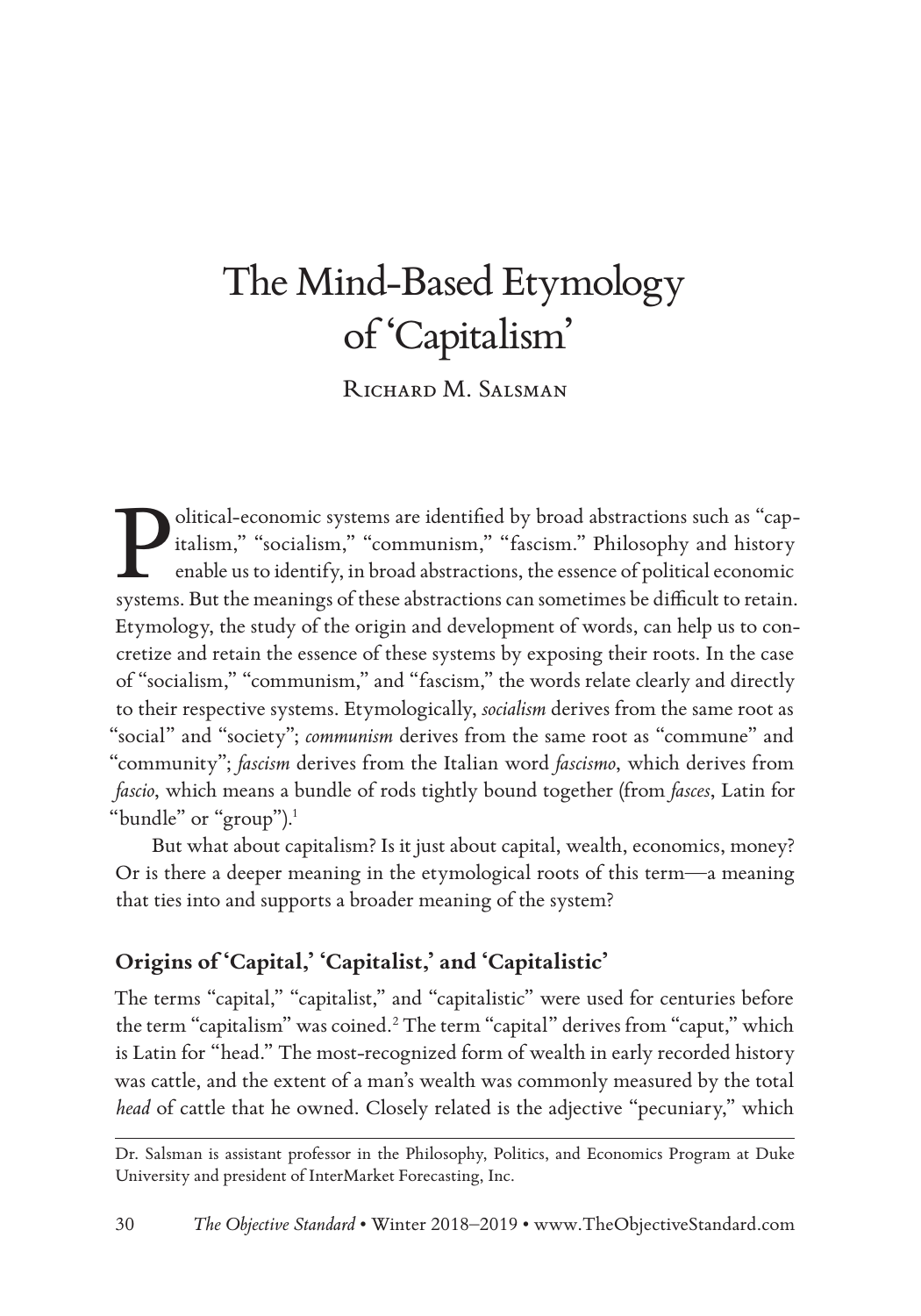# The Mind-Based Etymology of 'Capitalism'

RICHARD M. SALSMAN

Olitical-economic systems are identified by broad abstractions such as "cap-<br>italism," "socialism," "communism," "fascism." Philosophy and history<br>enable us to identify, in broad abstractions, the essence of political econ italism," "socialism," "communism," "fascism." Philosophy and history enable us to identify, in broad abstractions, the essence of political economic systems. But the meanings of these abstractions can sometimes be difficult to retain. Etymology, the study of the origin and development of words, can help us to concretize and retain the essence of these systems by exposing their roots. In the case of "socialism," "communism," and "fascism," the words relate clearly and directly to their respective systems. Etymologically, *socialism* derives from the same root as "social" and "society"; *communism* derives from the same root as "commune" and "community"; *fascism* derives from the Italian word *fascismo*, which derives from *fascio*, which means a bundle of rods tightly bound together (from *fasces*, Latin for "bundle" or "group").<sup>1</sup>

But what about capitalism? Is it just about capital, wealth, economics, money? Or is there a deeper meaning in the etymological roots of this term—a meaning that ties into and supports a broader meaning of the system?

## **Origins of 'Capital,' 'Capitalist,' and 'Capitalistic'**

The terms "capital," "capitalist," and "capitalistic" were used for centuries before the term "capitalism" was coined.2 The term "capital" derives from "caput," which is Latin for "head." The most-recognized form of wealth in early recorded history was cattle, and the extent of a man's wealth was commonly measured by the total *head* of cattle that he owned. Closely related is the adjective "pecuniary," which

Dr. Salsman is assistant professor in the Philosophy, Politics, and Economics Program at Duke University and president of InterMarket Forecasting, Inc.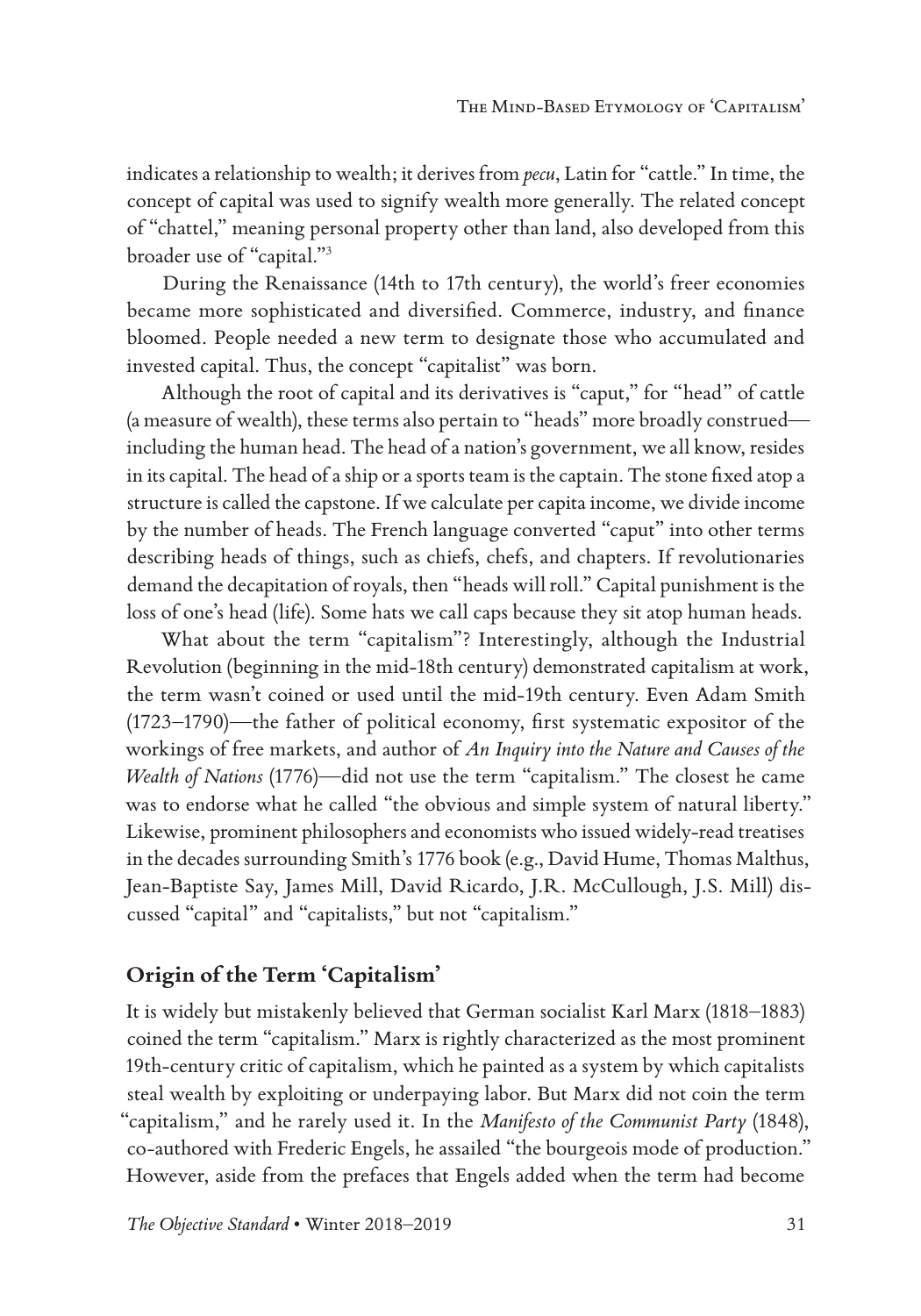indicates a relationship to wealth; it derives from *pecu*, Latin for "cattle." In time, the concept of capital was used to signify wealth more generally. The related concept of "chattel," meaning personal property other than land, also developed from this broader use of "capital."3

During the Renaissance (14th to 17th century), the world's freer economies became more sophisticated and diversified. Commerce, industry, and finance bloomed. People needed a new term to designate those who accumulated and invested capital. Thus, the concept "capitalist" was born.

Although the root of capital and its derivatives is "caput," for "head" of cattle (a measure of wealth), these terms also pertain to "heads" more broadly construed including the human head. The head of a nation's government, we all know, resides in its capital. The head of a ship or a sports team is the captain. The stone fixed atop a structure is called the capstone. If we calculate per capita income, we divide income by the number of heads. The French language converted "caput" into other terms describing heads of things, such as chiefs, chefs, and chapters. If revolutionaries demand the decapitation of royals, then "heads will roll." Capital punishment is the loss of one's head (life). Some hats we call caps because they sit atop human heads.

What about the term "capitalism"? Interestingly, although the Industrial Revolution (beginning in the mid-18th century) demonstrated capitalism at work, the term wasn't coined or used until the mid-19th century. Even Adam Smith (1723–1790)—the father of political economy, first systematic expositor of the workings of free markets, and author of *An Inquiry into the Nature and Causes of the Wealth of Nations* (1776)—did not use the term "capitalism." The closest he came was to endorse what he called "the obvious and simple system of natural liberty." Likewise, prominent philosophers and economists who issued widely-read treatises in the decades surrounding Smith's 1776 book (e.g., David Hume, Thomas Malthus, Jean-Baptiste Say, James Mill, David Ricardo, J.R. McCullough, J.S. Mill) discussed "capital" and "capitalists," but not "capitalism."

## **Origin of the Term 'Capitalism'**

It is widely but mistakenly believed that German socialist Karl Marx (1818–1883) coined the term "capitalism." Marx is rightly characterized as the most prominent 19th-century critic of capitalism, which he painted as a system by which capitalists steal wealth by exploiting or underpaying labor. But Marx did not coin the term "capitalism," and he rarely used it. In the *Manifesto of the Communist Party* (1848), co-authored with Frederic Engels, he assailed "the bourgeois mode of production." However, aside from the prefaces that Engels added when the term had become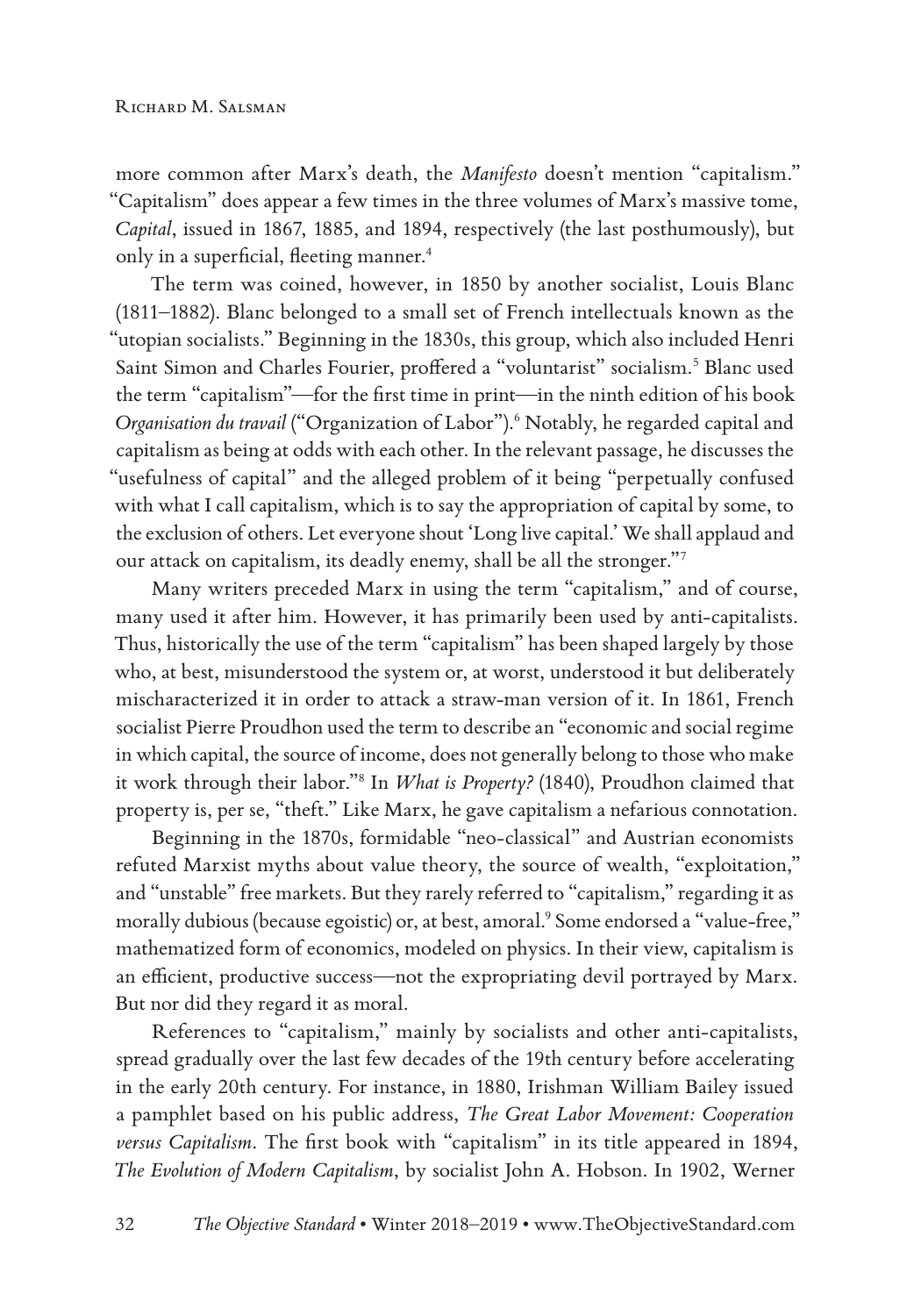more common after Marx's death, the *Manifesto* doesn't mention "capitalism." "Capitalism" does appear a few times in the three volumes of Marx's massive tome, *Capital*, issued in 1867, 1885, and 1894, respectively (the last posthumously), but only in a superficial, fleeting manner.<sup>4</sup>

The term was coined, however, in 1850 by another socialist, Louis Blanc (1811–1882). Blanc belonged to a small set of French intellectuals known as the "utopian socialists." Beginning in the 1830s, this group, which also included Henri Saint Simon and Charles Fourier, proffered a "voluntarist" socialism.<sup>5</sup> Blanc used the term "capitalism"—for the first time in print—in the ninth edition of his book Organisation du travail ("Organization of Labor").<sup>6</sup> Notably, he regarded capital and capitalism as being at odds with each other. In the relevant passage, he discusses the "usefulness of capital" and the alleged problem of it being "perpetually confused with what I call capitalism, which is to say the appropriation of capital by some, to the exclusion of others. Let everyone shout 'Long live capital.' We shall applaud and our attack on capitalism, its deadly enemy, shall be all the stronger."7

Many writers preceded Marx in using the term "capitalism," and of course, many used it after him. However, it has primarily been used by anti-capitalists. Thus, historically the use of the term "capitalism" has been shaped largely by those who, at best, misunderstood the system or, at worst, understood it but deliberately mischaracterized it in order to attack a straw-man version of it. In 1861, French socialist Pierre Proudhon used the term to describe an "economic and social regime in which capital, the source of income, does not generally belong to those who make it work through their labor."8 In *What is Property?* (1840), Proudhon claimed that property is, per se, "theft." Like Marx, he gave capitalism a nefarious connotation.

Beginning in the 1870s, formidable "neo-classical" and Austrian economists refuted Marxist myths about value theory, the source of wealth, "exploitation," and "unstable" free markets. But they rarely referred to "capitalism," regarding it as morally dubious (because egoistic) or, at best, amoral.9 Some endorsed a "value-free," mathematized form of economics, modeled on physics. In their view, capitalism is an efficient, productive success—not the expropriating devil portrayed by Marx. But nor did they regard it as moral.

References to "capitalism," mainly by socialists and other anti-capitalists, spread gradually over the last few decades of the 19th century before accelerating in the early 20th century. For instance, in 1880, Irishman William Bailey issued a pamphlet based on his public address, *The Great Labor Movement: Cooperation versus Capitalism*. The first book with "capitalism" in its title appeared in 1894, *The Evolution of Modern Capitalism*, by socialist John A. Hobson. In 1902, Werner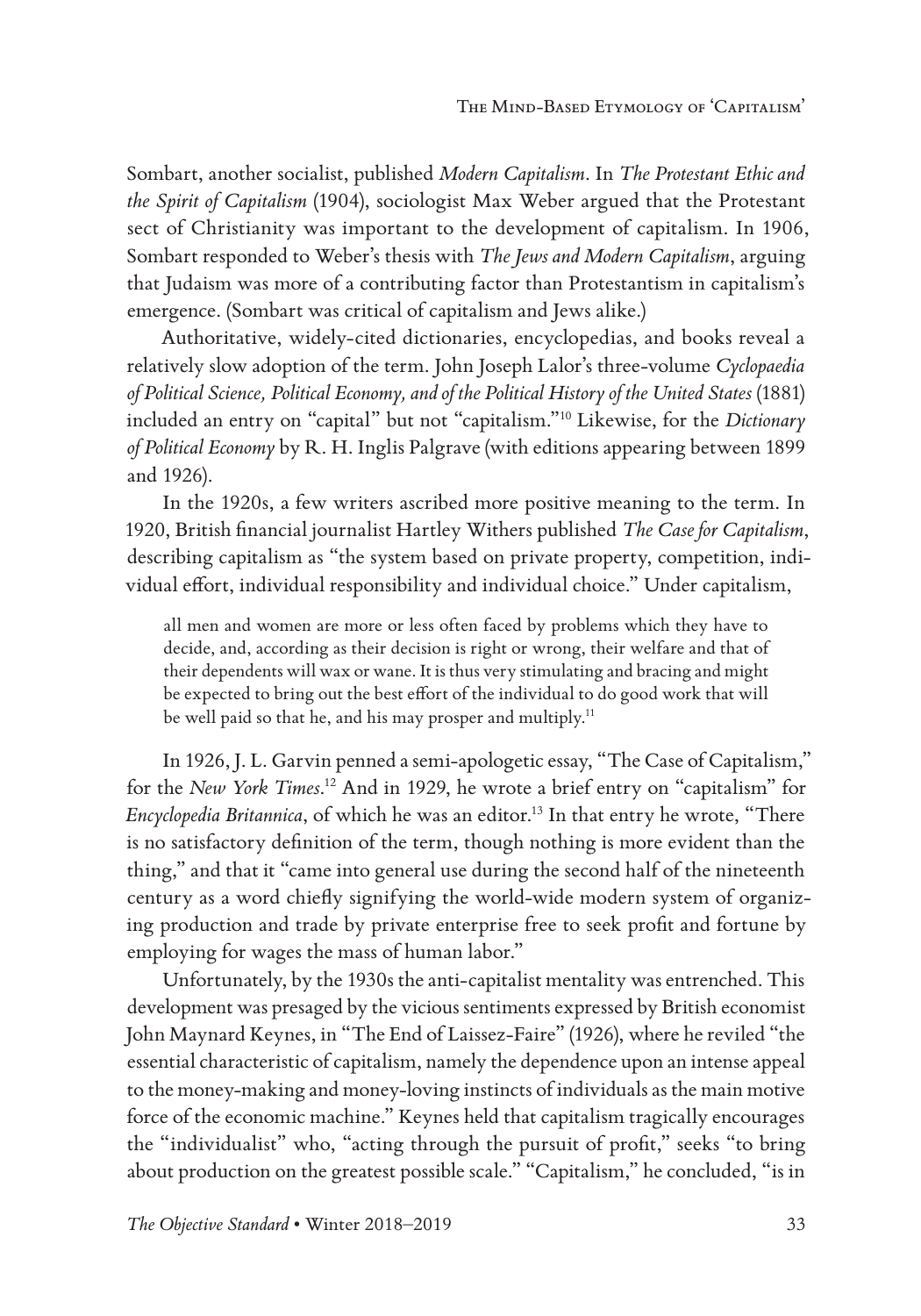Sombart, another socialist, published *Modern Capitalism*. In *The Protestant Ethic and the Spirit of Capitalism* (1904), sociologist Max Weber argued that the Protestant sect of Christianity was important to the development of capitalism. In 1906, Sombart responded to Weber's thesis with *The Jews and Modern Capitalism*, arguing that Judaism was more of a contributing factor than Protestantism in capitalism's emergence. (Sombart was critical of capitalism and Jews alike.)

Authoritative, widely-cited dictionaries, encyclopedias, and books reveal a relatively slow adoption of the term. John Joseph Lalor's three-volume *Cyclopaedia of Political Science, Political Economy, and of the Political History of the United States* (1881) included an entry on "capital" but not "capitalism."10 Likewise, for the *Dictionary of Political Economy* by R. H. Inglis Palgrave (with editions appearing between 1899 and 1926).

In the 1920s, a few writers ascribed more positive meaning to the term. In 1920, British financial journalist Hartley Withers published *The Case for Capitalism*, describing capitalism as "the system based on private property, competition, individual effort, individual responsibility and individual choice." Under capitalism,

all men and women are more or less often faced by problems which they have to decide, and, according as their decision is right or wrong, their welfare and that of their dependents will wax or wane. It is thus very stimulating and bracing and might be expected to bring out the best effort of the individual to do good work that will be well paid so that he, and his may prosper and multiply.<sup>11</sup>

In 1926, J. L. Garvin penned a semi-apologetic essay, "The Case of Capitalism," for the *New York Times*. 12 And in 1929, he wrote a brief entry on "capitalism" for *Encyclopedia Britannica*, of which he was an editor.<sup>13</sup> In that entry he wrote, "There is no satisfactory definition of the term, though nothing is more evident than the thing," and that it "came into general use during the second half of the nineteenth century as a word chiefly signifying the world-wide modern system of organizing production and trade by private enterprise free to seek profit and fortune by employing for wages the mass of human labor."

Unfortunately, by the 1930s the anti-capitalist mentality was entrenched. This development was presaged by the vicious sentiments expressed by British economist John Maynard Keynes, in "The End of Laissez-Faire" (1926), where he reviled "the essential characteristic of capitalism, namely the dependence upon an intense appeal to the money-making and money-loving instincts of individuals as the main motive force of the economic machine." Keynes held that capitalism tragically encourages the "individualist" who, "acting through the pursuit of profit," seeks "to bring about production on the greatest possible scale." "Capitalism," he concluded, "is in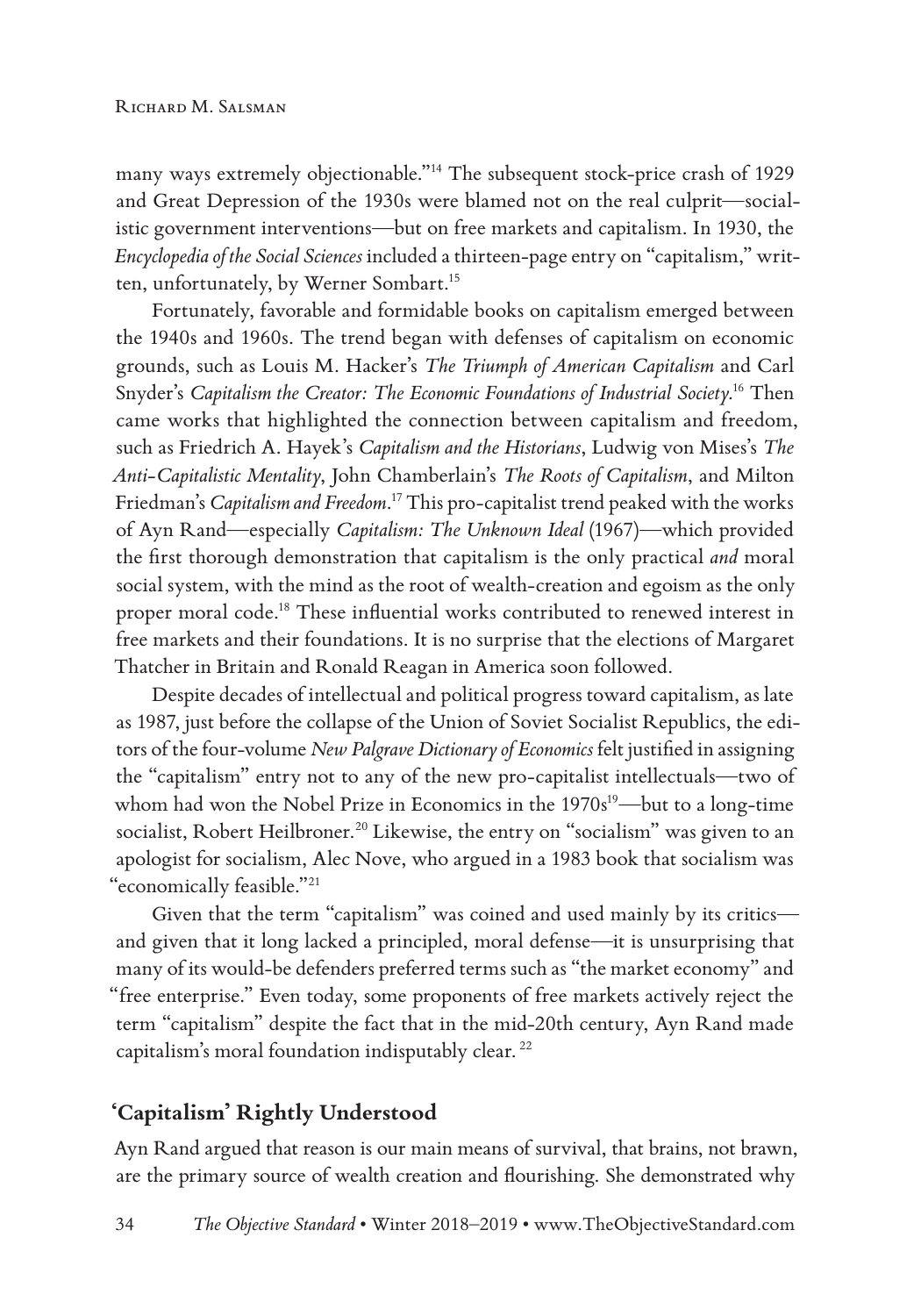many ways extremely objectionable."14 The subsequent stock-price crash of 1929 and Great Depression of the 1930s were blamed not on the real culprit—socialistic government interventions—but on free markets and capitalism. In 1930, the *Encyclopedia of the Social Sciences* included a thirteen-page entry on "capitalism," written, unfortunately, by Werner Sombart.15

Fortunately, favorable and formidable books on capitalism emerged between the 1940s and 1960s. The trend began with defenses of capitalism on economic grounds, such as Louis M. Hacker's *The Triumph of American Capitalism* and Carl Snyder's *Capitalism the Creator: The Economic Foundations of Industrial Society*. 16 Then came works that highlighted the connection between capitalism and freedom, such as Friedrich A. Hayek's *Capitalism and the Historians*, Ludwig von Mises's *The Anti-Capitalistic Mentality*, John Chamberlain's *The Roots of Capitalism*, and Milton Friedman's *Capitalism and Freedom*. 17 This pro-capitalist trend peaked with the works of Ayn Rand—especially *Capitalism: The Unknown Ideal* (1967)—which provided the first thorough demonstration that capitalism is the only practical *and* moral social system, with the mind as the root of wealth-creation and egoism as the only proper moral code.18 These influential works contributed to renewed interest in free markets and their foundations. It is no surprise that the elections of Margaret Thatcher in Britain and Ronald Reagan in America soon followed.

Despite decades of intellectual and political progress toward capitalism, as late as 1987, just before the collapse of the Union of Soviet Socialist Republics, the editors of the four-volume *New Palgrave Dictionary of Economics* felt justified in assigning the "capitalism" entry not to any of the new pro-capitalist intellectuals—two of whom had won the Nobel Prize in Economics in the  $1970s^{19}$ —but to a long-time socialist, Robert Heilbroner.<sup>20</sup> Likewise, the entry on "socialism" was given to an apologist for socialism, Alec Nove, who argued in a 1983 book that socialism was "economically feasible."21

Given that the term "capitalism" was coined and used mainly by its critics and given that it long lacked a principled, moral defense—it is unsurprising that many of its would-be defenders preferred terms such as "the market economy" and "free enterprise." Even today, some proponents of free markets actively reject the term "capitalism" despite the fact that in the mid-20th century, Ayn Rand made capitalism's moral foundation indisputably clear. <sup>22</sup>

### **'Capitalism' Rightly Understood**

Ayn Rand argued that reason is our main means of survival, that brains, not brawn, are the primary source of wealth creation and flourishing. She demonstrated why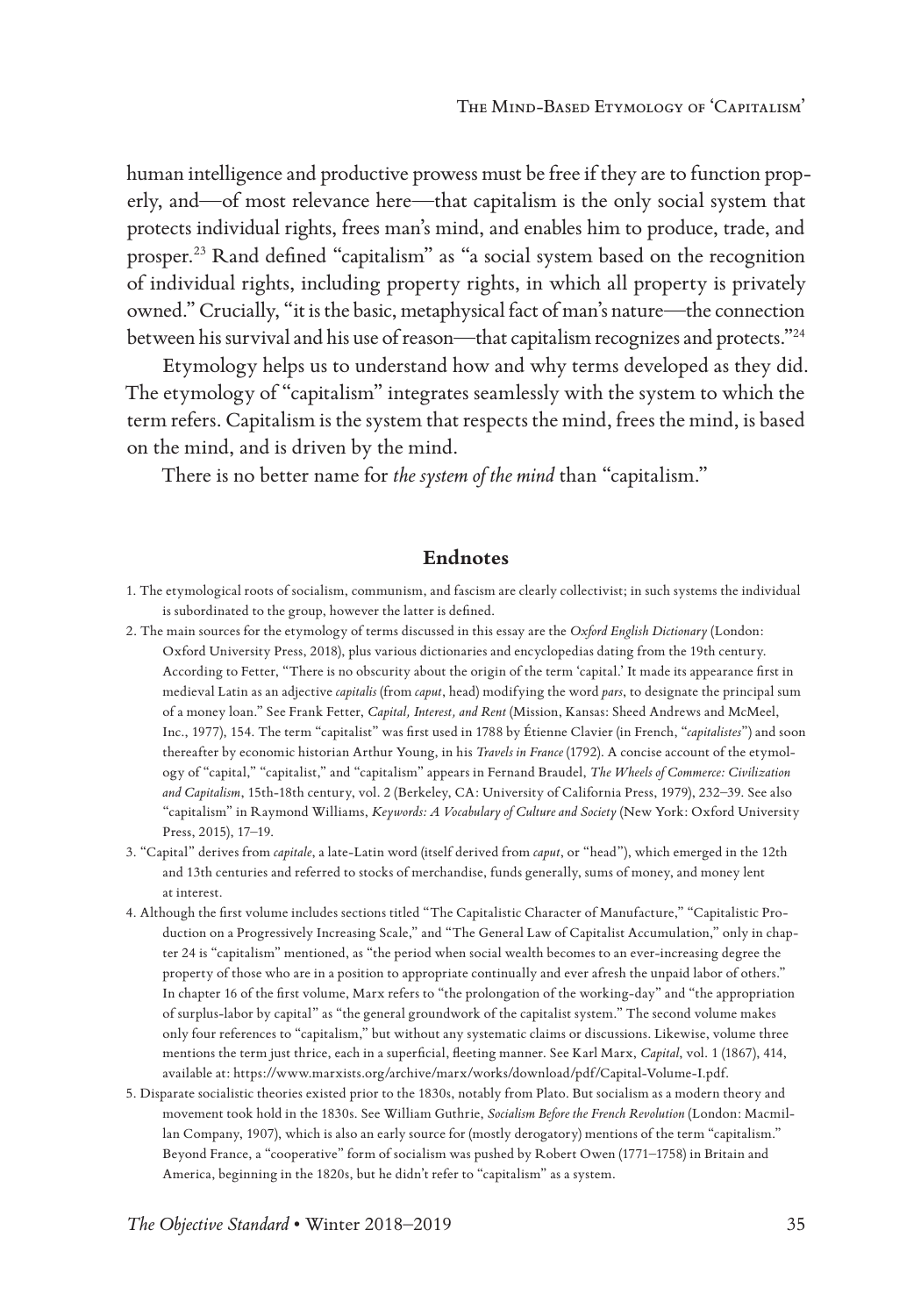human intelligence and productive prowess must be free if they are to function properly, and—of most relevance here—that capitalism is the only social system that protects individual rights, frees man's mind, and enables him to produce, trade, and prosper.23 Rand defined "capitalism" as "a social system based on the recognition of individual rights, including property rights, in which all property is privately owned." Crucially, "it is the basic, metaphysical fact of man's nature—the connection between his survival and his use of reason—that capitalism recognizes and protects."24

Etymology helps us to understand how and why terms developed as they did. The etymology of "capitalism" integrates seamlessly with the system to which the term refers. Capitalism is the system that respects the mind, frees the mind, is based on the mind, and is driven by the mind.

There is no better name for *the system of the mind* than "capitalism."

#### **Endnotes**

- 1. The etymological roots of socialism, communism, and fascism are clearly collectivist; in such systems the individual is subordinated to the group, however the latter is defined.
- 2. The main sources for the etymology of terms discussed in this essay are the *Oxford English Dictionary* (London: Oxford University Press, 2018), plus various dictionaries and encyclopedias dating from the 19th century. According to Fetter, "There is no obscurity about the origin of the term 'capital.' It made its appearance first in medieval Latin as an adjective *capitalis* (from *caput*, head) modifying the word *pars*, to designate the principal sum of a money loan." See Frank Fetter, *Capital, Interest, and Rent* (Mission, Kansas: Sheed Andrews and McMeel, Inc., 1977), 154. The term "capitalist" was first used in 1788 by Étienne Clavier (in French, "*capitalistes*") and soon thereafter by economic historian Arthur Young, in his *Travels in France* (1792). A concise account of the etymology of "capital," "capitalist," and "capitalism" appears in Fernand Braudel, *The Wheels of Commerce: Civilization and Capitalism*, 15th-18th century, vol. 2 (Berkeley, CA: University of California Press, 1979), 232–39. See also "capitalism" in Raymond Williams, *Keywords: A Vocabulary of Culture and Society* (New York: Oxford University Press, 2015), 17–19.
- 3. "Capital" derives from *capitale*, a late-Latin word (itself derived from *caput*, or "head"), which emerged in the 12th and 13th centuries and referred to stocks of merchandise, funds generally, sums of money, and money lent at interest.
- 4. Although the first volume includes sections titled "The Capitalistic Character of Manufacture," "Capitalistic Production on a Progressively Increasing Scale," and "The General Law of Capitalist Accumulation," only in chapter 24 is "capitalism" mentioned, as "the period when social wealth becomes to an ever-increasing degree the property of those who are in a position to appropriate continually and ever afresh the unpaid labor of others." In chapter 16 of the first volume, Marx refers to "the prolongation of the working-day" and "the appropriation of surplus-labor by capital" as "the general groundwork of the capitalist system." The second volume makes only four references to "capitalism," but without any systematic claims or discussions. Likewise, volume three mentions the term just thrice, each in a superficial, fleeting manner. See Karl Marx, *Capital*, vol. 1 (1867), 414, available at: https://www.marxists.org/archive/marx/works/download/pdf/Capital-Volume-I.pdf.
- 5. Disparate socialistic theories existed prior to the 1830s, notably from Plato. But socialism as a modern theory and movement took hold in the 1830s. See William Guthrie, *Socialism Before the French Revolution* (London: Macmillan Company, 1907), which is also an early source for (mostly derogatory) mentions of the term "capitalism." Beyond France, a "cooperative" form of socialism was pushed by Robert Owen (1771–1758) in Britain and America, beginning in the 1820s, but he didn't refer to "capitalism" as a system.